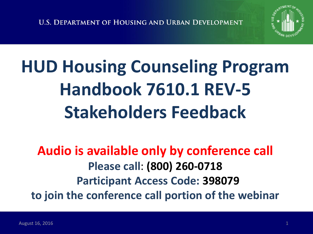

# **HUD Housing Counseling Program Handbook 7610.1 REV-5 Stakeholders Feedback**

#### **Audio is available only by conference call Please call**: **(800) 260-0718 Participant Access Code: 398079 to join the conference call portion of the webinar**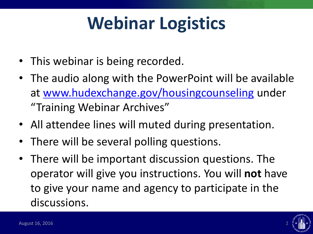# **Webinar Logistics**

- This webinar is being recorded.
- The audio along with the PowerPoint will be available at [www.hudexchange.gov/housingcounseling](http://www.hudexchange.gov/housingcounseling) under "Training Webinar Archives"
- All attendee lines will muted during presentation.
- There will be several polling questions.
- There will be important discussion questions. The operator will give you instructions. You will **not** have to give your name and agency to participate in the discussions.

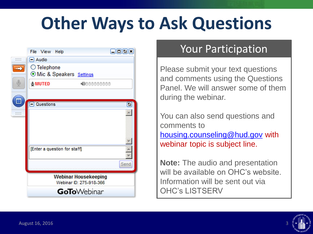# **Other Ways to Ask Questions**

|            | File View Help                                         |  |                     | 日回回因 |
|------------|--------------------------------------------------------|--|---------------------|------|
| ******<br> | $=$ Audio                                              |  |                     |      |
|            | ◯ Telephone<br>Mic & Speakers Settings                 |  |                     |      |
|            | <b>&amp;MUTED</b>                                      |  | 4000000000          |      |
|            | <b>Questions</b>                                       |  |                     | ø    |
|            |                                                        |  |                     |      |
|            |                                                        |  |                     |      |
|            | [Enter a question for staff]                           |  |                     |      |
|            |                                                        |  |                     | Send |
|            | <b>Webinar Housekeeping</b><br>Webinar ID: 275-918-366 |  |                     |      |
|            |                                                        |  | <b>GoTo</b> Webinar |      |

#### Your Participation

Please submit your text questions and comments using the Questions Panel. We will answer some of them during the webinar.

You can also send questions and comments to [housing.counseling@hud.gov](mailto:housing.counseling@hud.gov) with webinar topic is subject line.

**Note:** The audio and presentation will be available on OHC's website. Information will be sent out via OHC's LISTSERV

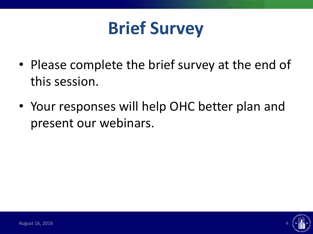

- Please complete the brief survey at the end of this session.
- Your responses will help OHC better plan and present our webinars.

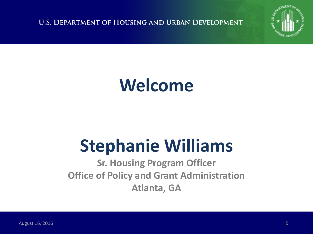**U.S. DEPARTMENT OF HOUSING AND URBAN DEVELOPMENT** 



## **Welcome**

# **Stephanie Williams**

**Sr. Housing Program Officer Office of Policy and Grant Administration Atlanta, GA**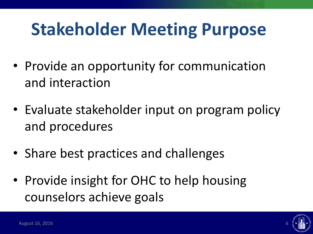# **Stakeholder Meeting Purpose**

- Provide an opportunity for communication and interaction
- Evaluate stakeholder input on program policy and procedures
- Share best practices and challenges
- Provide insight for OHC to help housing counselors achieve goals

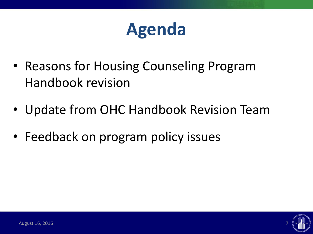## **Agenda**

- Reasons for Housing Counseling Program Handbook revision
- Update from OHC Handbook Revision Team
- Feedback on program policy issues

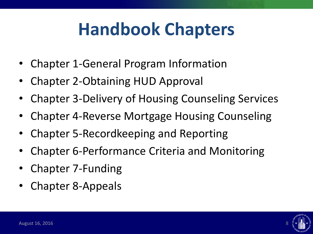# **Handbook Chapters**

- Chapter 1-General Program Information
- Chapter 2-Obtaining HUD Approval
- Chapter 3-Delivery of Housing Counseling Services
- Chapter 4-Reverse Mortgage Housing Counseling
- Chapter 5-Recordkeeping and Reporting
- Chapter 6-Performance Criteria and Monitoring
- Chapter 7-Funding
- Chapter 8-Appeals

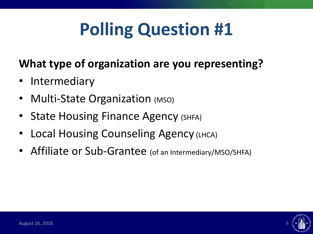# **Polling Question #1**

#### **What type of organization are you representing?**

- **Intermediary**
- Multi-State Organization (MSO)
- State Housing Finance Agency (SHFA)
- **Local Housing Counseling Agency (LHCA)**
- Affiliate or Sub-Grantee (of an Intermediary/MSO/SHFA)

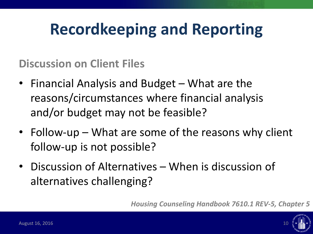**Discussion on Client Files**

- Financial Analysis and Budget What are the reasons/circumstances where financial analysis and/or budget may not be feasible?
- Follow-up What are some of the reasons why client follow-up is not possible?
- Discussion of Alternatives When is discussion of alternatives challenging?

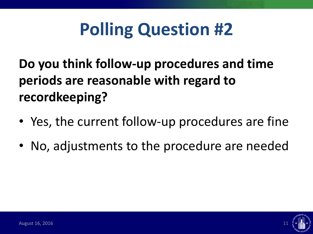# **Polling Question #2**

**Do you think follow-up procedures and time periods are reasonable with regard to recordkeeping?**

- Yes, the current follow-up procedures are fine
- No, adjustments to the procedure are needed

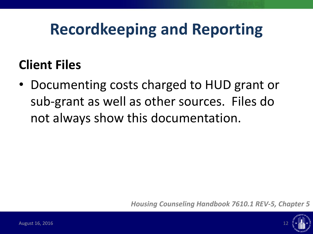#### **Client Files**

• Documenting costs charged to HUD grant or sub-grant as well as other sources. Files do not always show this documentation.

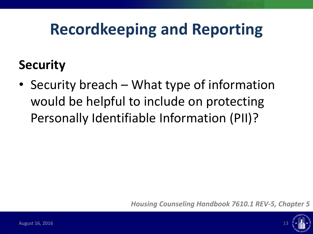#### **Security**

• Security breach – What type of information would be helpful to include on protecting Personally Identifiable Information (PII)?

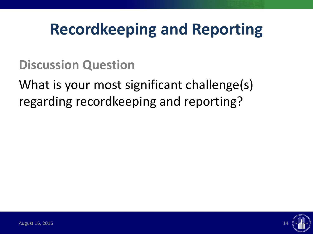**Discussion Question**

What is your most significant challenge(s) regarding recordkeeping and reporting?

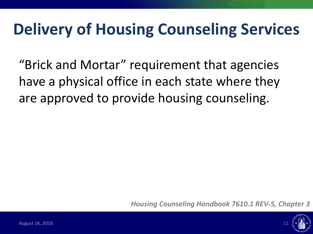"Brick and Mortar" requirement that agencies have a physical office in each state where they are approved to provide housing counseling.

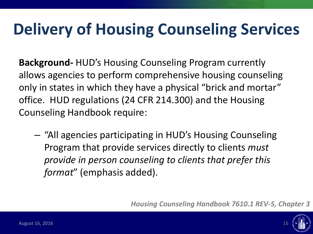**Background-** HUD's Housing Counseling Program currently allows agencies to perform comprehensive housing counseling only in states in which they have a physical "brick and mortar" office. HUD regulations (24 CFR 214.300) and the Housing Counseling Handbook require:

– "All agencies participating in HUD's Housing Counseling Program that provide services directly to clients *must provide in person counseling to clients that prefer this format*" (emphasis added).

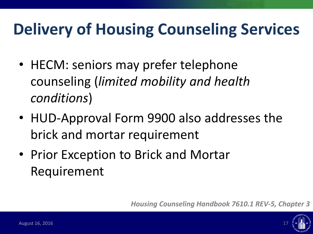- HECM: seniors may prefer telephone counseling (*limited mobility and health conditions*)
- HUD-Approval Form 9900 also addresses the brick and mortar requirement
- Prior Exception to Brick and Mortar Requirement

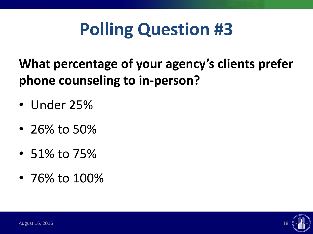# **Polling Question #3**

#### **What percentage of your agency's clients prefer phone counseling to in-person?**

- Under 25%
- 26% to 50%
- 51% to 75%
- 76% to 100%

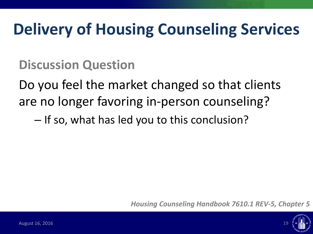**Discussion Question**

Do you feel the market changed so that clients are no longer favoring in-person counseling?

– If so, what has led you to this conclusion?

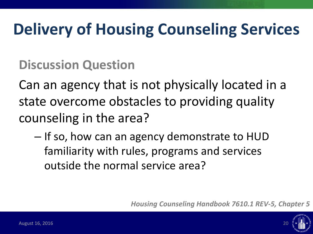**Discussion Question**

Can an agency that is not physically located in a state overcome obstacles to providing quality counseling in the area?

– If so, how can an agency demonstrate to HUD familiarity with rules, programs and services outside the normal service area?

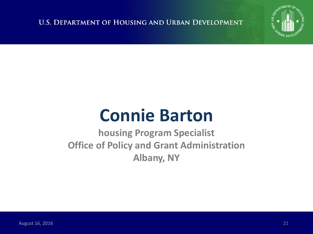**U.S. DEPARTMENT OF HOUSING AND URBAN DEVELOPMENT** 



## **Connie Barton**

**housing Program Specialist Office of Policy and Grant Administration Albany, NY**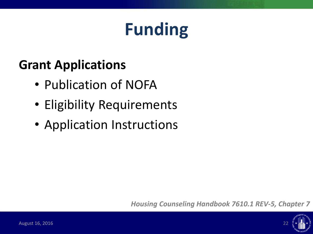# **Funding**

#### **Grant Applications**

- Publication of NOFA
- Eligibility Requirements
- Application Instructions

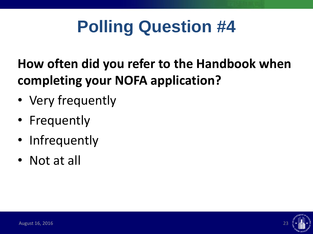# **Polling Question #4**

#### **How often did you refer to the Handbook when completing your NOFA application?**

- Very frequently
- Frequently
- Infrequently
- Not at all

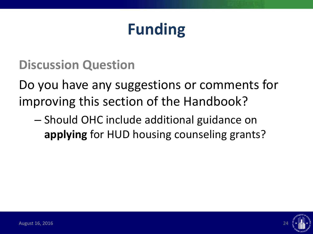### **Funding**

**Discussion Question**

Do you have any suggestions or comments for improving this section of the Handbook?

– Should OHC include additional guidance on **applying** for HUD housing counseling grants?

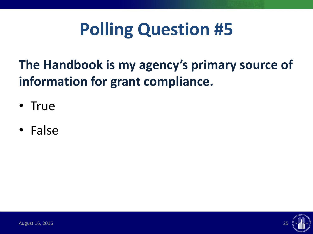# **Polling Question #5**

#### **The Handbook is my agency's primary source of information for grant compliance.**

- True
- False

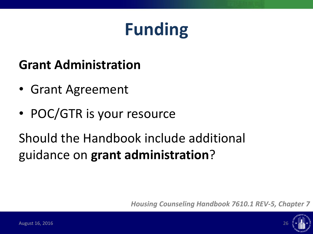# **Funding**

#### **Grant Administration**

- Grant Agreement
- POC/GTR is your resource

Should the Handbook include additional guidance on **grant administration**?

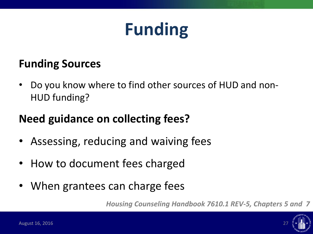## **Funding**

#### **Funding Sources**

• Do you know where to find other sources of HUD and non-HUD funding?

#### **Need guidance on collecting fees?**

- Assessing, reducing and waiving fees
- How to document fees charged
- When grantees can charge fees

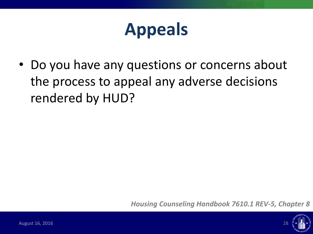## **Appeals**

• Do you have any questions or concerns about the process to appeal any adverse decisions rendered by HUD?

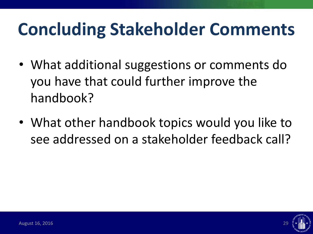# **Concluding Stakeholder Comments**

- What additional suggestions or comments do you have that could further improve the handbook?
- What other handbook topics would you like to see addressed on a stakeholder feedback call?

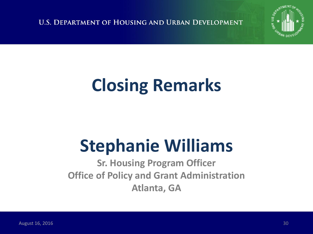**U.S. DEPARTMENT OF HOUSING AND URBAN DEVELOPMENT** 



# **Closing Remarks**

# **Stephanie Williams**

**Sr. Housing Program Officer Office of Policy and Grant Administration Atlanta, GA**